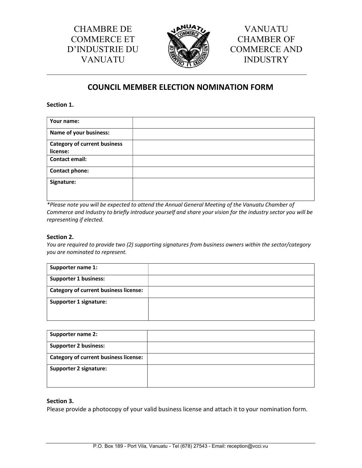

VANUATU CHAMBER OF COMMERCE AND INDUSTRY

## COUNCIL MEMBER ELECTION NOMINATION FORM

Section 1.

| Your name:                          |  |
|-------------------------------------|--|
|                                     |  |
| Name of your business:              |  |
|                                     |  |
| <b>Category of current business</b> |  |
| license:                            |  |
| <b>Contact email:</b>               |  |
|                                     |  |
| <b>Contact phone:</b>               |  |
|                                     |  |
| Signature:                          |  |
|                                     |  |
|                                     |  |
|                                     |  |

\*Please note you will be expected to attend the Annual General Meeting of the Vanuatu Chamber of Commerce and Industry to briefly introduce yourself and share your vision for the industry sector you will be representing if elected.

## Section 2.

You are required to provide two (2) supporting signatures from business owners within the sector/category you are nominated to represent.

| Supporter name 1:                            |  |
|----------------------------------------------|--|
| <b>Supporter 1 business:</b>                 |  |
| <b>Category of current business license:</b> |  |
| Supporter 1 signature:                       |  |
|                                              |  |

| Supporter name 2:                            |  |
|----------------------------------------------|--|
| <b>Supporter 2 business:</b>                 |  |
| <b>Category of current business license:</b> |  |
| <b>Supporter 2 signature:</b>                |  |
|                                              |  |

## Section 3.

Please provide a photocopy of your valid business license and attach it to your nomination form.